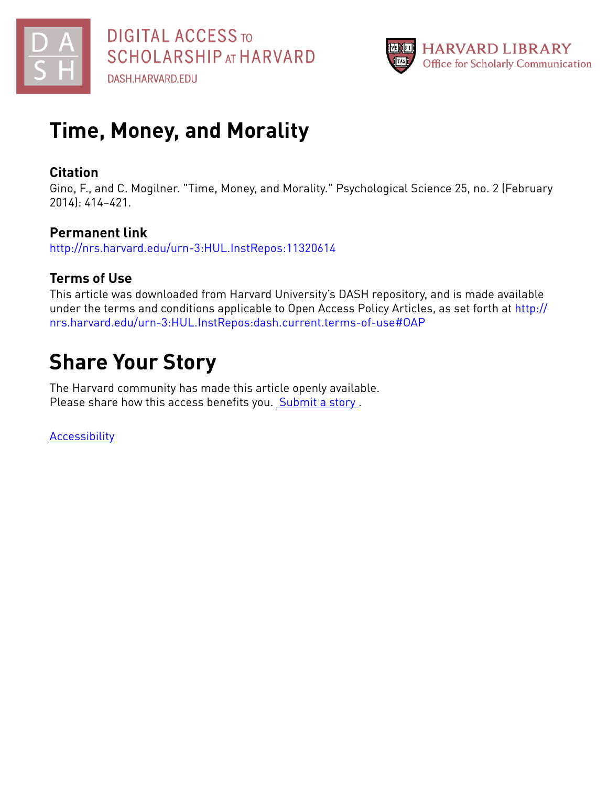



# **Time, Money, and Morality**

# **Citation**

Gino, F., and C. Mogilner. "Time, Money, and Morality." Psychological Science 25, no. 2 (February 2014): 414–421.

# **Permanent link**

<http://nrs.harvard.edu/urn-3:HUL.InstRepos:11320614>

# **Terms of Use**

This article was downloaded from Harvard University's DASH repository, and is made available under the terms and conditions applicable to Open Access Policy Articles, as set forth at [http://](http://nrs.harvard.edu/urn-3:HUL.InstRepos:dash.current.terms-of-use#OAP) [nrs.harvard.edu/urn-3:HUL.InstRepos:dash.current.terms-of-use#OAP](http://nrs.harvard.edu/urn-3:HUL.InstRepos:dash.current.terms-of-use#OAP)

# **Share Your Story**

The Harvard community has made this article openly available. Please share how this access benefits you. [Submit](http://osc.hul.harvard.edu/dash/open-access-feedback?handle=&title=Time,%20Money,%20and%20Morality&community=1/3345929&collection=1/3345930&owningCollection1/3345930&harvardAuthors=4dc1214b53e2dc7bb6abed5c71f60044&department) a story .

**[Accessibility](https://dash.harvard.edu/pages/accessibility)**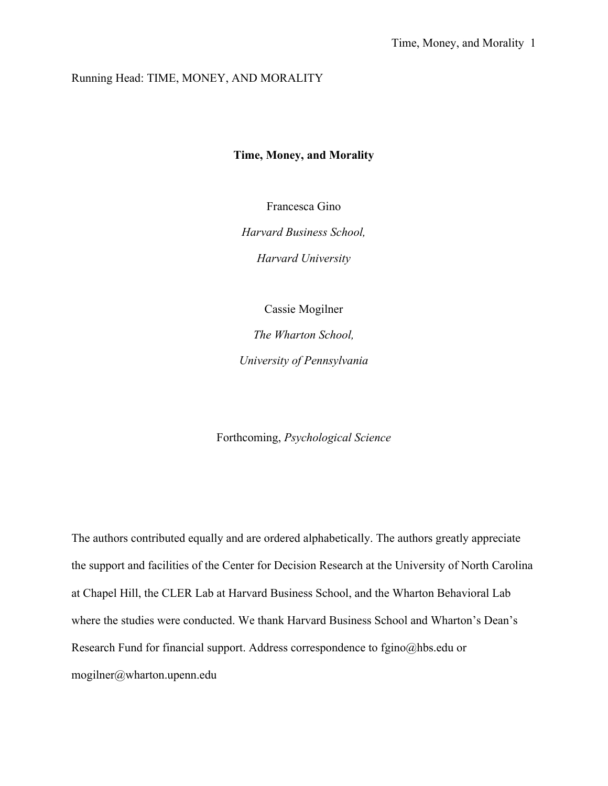# Running Head: TIME, MONEY, AND MORALITY

## **Time, Money, and Morality**

Francesca Gino

*Harvard Business School,*

*Harvard University*

Cassie Mogilner

*The Wharton School, University of Pennsylvania*

Forthcoming, *Psychological Science*

The authors contributed equally and are ordered alphabetically. The authors greatly appreciate the support and facilities of the Center for Decision Research at the University of North Carolina at Chapel Hill, the CLER Lab at Harvard Business School, and the Wharton Behavioral Lab where the studies were conducted. We thank Harvard Business School and Wharton's Dean's Research Fund for financial support. Address correspondence to fgino@hbs.edu or mogilner@wharton.upenn.edu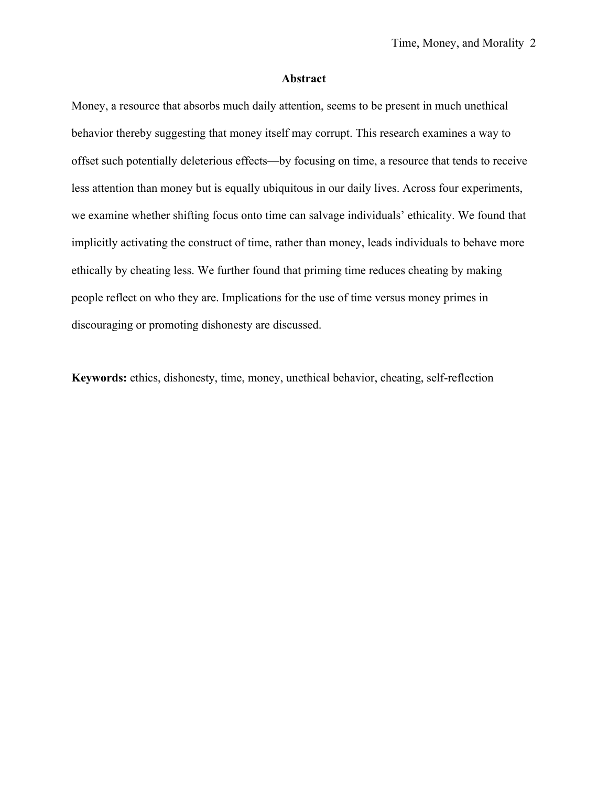#### **Abstract**

Money, a resource that absorbs much daily attention, seems to be present in much unethical behavior thereby suggesting that money itself may corrupt. This research examines a way to offset such potentially deleterious effects—by focusing on time, a resource that tends to receive less attention than money but is equally ubiquitous in our daily lives. Across four experiments, we examine whether shifting focus onto time can salvage individuals' ethicality. We found that implicitly activating the construct of time, rather than money, leads individuals to behave more ethically by cheating less. We further found that priming time reduces cheating by making people reflect on who they are. Implications for the use of time versus money primes in discouraging or promoting dishonesty are discussed.

**Keywords:** ethics, dishonesty, time, money, unethical behavior, cheating, self-reflection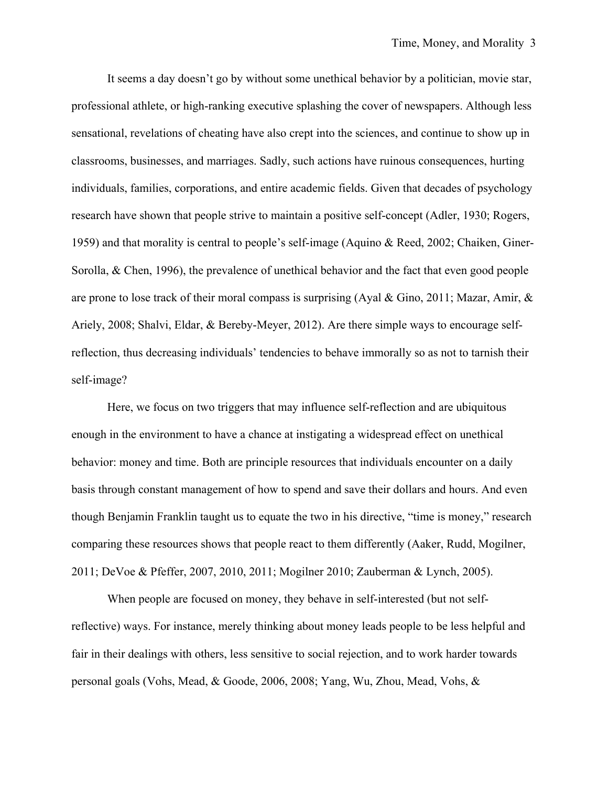It seems a day doesn't go by without some unethical behavior by a politician, movie star, professional athlete, or high-ranking executive splashing the cover of newspapers. Although less sensational, revelations of cheating have also crept into the sciences, and continue to show up in classrooms, businesses, and marriages. Sadly, such actions have ruinous consequences, hurting individuals, families, corporations, and entire academic fields. Given that decades of psychology research have shown that people strive to maintain a positive self-concept (Adler, 1930; Rogers, 1959) and that morality is central to people's self-image (Aquino & Reed, 2002; Chaiken, Giner-Sorolla, & Chen, 1996), the prevalence of unethical behavior and the fact that even good people are prone to lose track of their moral compass is surprising (Ayal & Gino, 2011; Mazar, Amir, & Ariely, 2008; Shalvi, Eldar, & Bereby-Meyer, 2012). Are there simple ways to encourage selfreflection, thus decreasing individuals' tendencies to behave immorally so as not to tarnish their self-image?

Here, we focus on two triggers that may influence self-reflection and are ubiquitous enough in the environment to have a chance at instigating a widespread effect on unethical behavior: money and time. Both are principle resources that individuals encounter on a daily basis through constant management of how to spend and save their dollars and hours. And even though Benjamin Franklin taught us to equate the two in his directive, "time is money," research comparing these resources shows that people react to them differently (Aaker, Rudd, Mogilner, 2011; DeVoe & Pfeffer, 2007, 2010, 2011; Mogilner 2010; Zauberman & Lynch, 2005).

When people are focused on money, they behave in self-interested (but not selfreflective) ways. For instance, merely thinking about money leads people to be less helpful and fair in their dealings with others, less sensitive to social rejection, and to work harder towards personal goals (Vohs, Mead, & Goode, 2006, 2008; Yang, Wu, Zhou, Mead, Vohs, &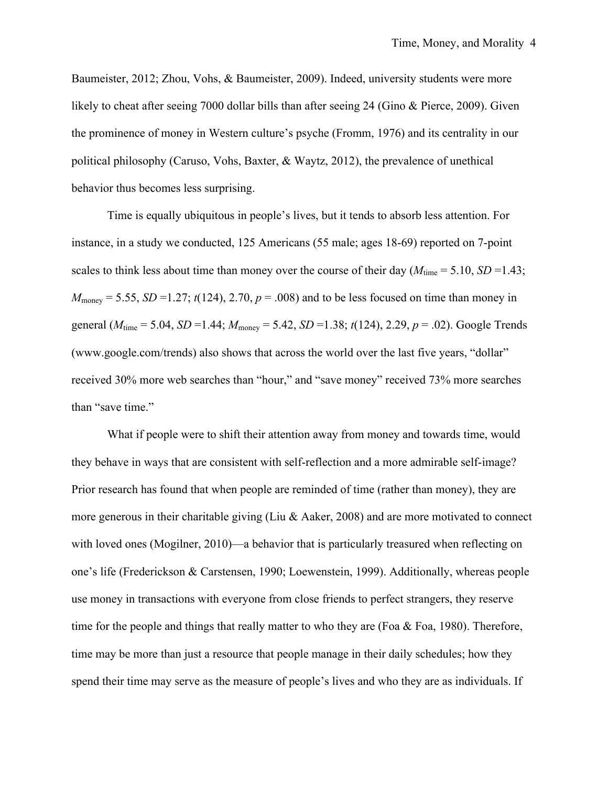Baumeister, 2012; Zhou, Vohs, & Baumeister, 2009). Indeed, university students were more likely to cheat after seeing 7000 dollar bills than after seeing 24 (Gino & Pierce, 2009). Given the prominence of money in Western culture's psyche (Fromm, 1976) and its centrality in our political philosophy (Caruso, Vohs, Baxter, & Waytz, 2012), the prevalence of unethical behavior thus becomes less surprising.

Time is equally ubiquitous in people's lives, but it tends to absorb less attention. For instance, in a study we conducted, 125 Americans (55 male; ages 18-69) reported on 7-point scales to think less about time than money over the course of their day  $(M_{time} = 5.10, SD = 1.43;$  $M_{\text{money}} = 5.55$ , *SD* = 1.27; *t*(124), 2.70, *p* = .008) and to be less focused on time than money in general (*M*time = 5.04, *SD* =1.44; *M*money = 5.42, *SD* =1.38; *t*(124), 2.29, *p* = .02). Google Trends (www.google.com/trends) also shows that across the world over the last five years, "dollar" received 30% more web searches than "hour," and "save money" received 73% more searches than "save time."

What if people were to shift their attention away from money and towards time, would they behave in ways that are consistent with self-reflection and a more admirable self-image? Prior research has found that when people are reminded of time (rather than money), they are more generous in their charitable giving (Liu & Aaker, 2008) and are more motivated to connect with loved ones (Mogilner, 2010)—a behavior that is particularly treasured when reflecting on one's life (Frederickson & Carstensen, 1990; Loewenstein, 1999). Additionally, whereas people use money in transactions with everyone from close friends to perfect strangers, they reserve time for the people and things that really matter to who they are (Foa  $\&$  Foa, 1980). Therefore, time may be more than just a resource that people manage in their daily schedules; how they spend their time may serve as the measure of people's lives and who they are as individuals. If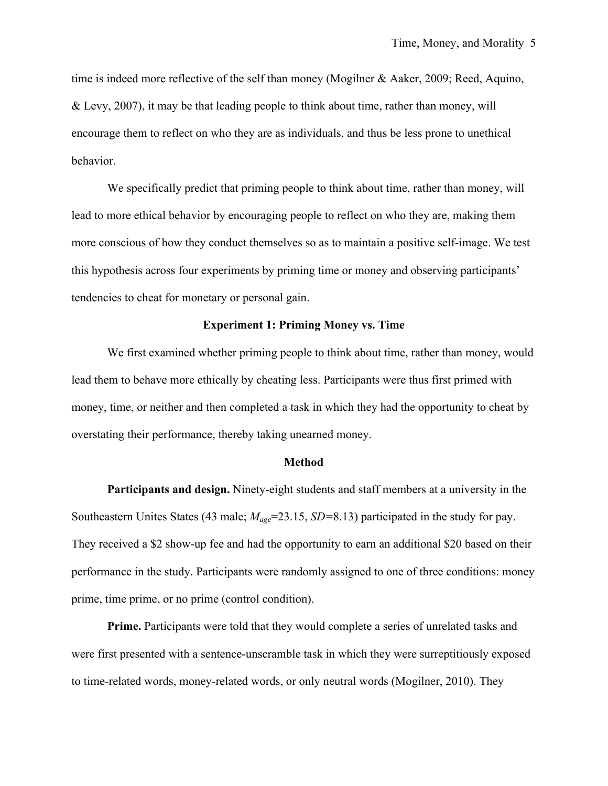time is indeed more reflective of the self than money (Mogilner & Aaker, 2009; Reed, Aquino, & Levy, 2007), it may be that leading people to think about time, rather than money, will encourage them to reflect on who they are as individuals, and thus be less prone to unethical behavior.

We specifically predict that priming people to think about time, rather than money, will lead to more ethical behavior by encouraging people to reflect on who they are, making them more conscious of how they conduct themselves so as to maintain a positive self-image. We test this hypothesis across four experiments by priming time or money and observing participants' tendencies to cheat for monetary or personal gain.

## **Experiment 1: Priming Money vs. Time**

We first examined whether priming people to think about time, rather than money, would lead them to behave more ethically by cheating less. Participants were thus first primed with money, time, or neither and then completed a task in which they had the opportunity to cheat by overstating their performance, thereby taking unearned money.

#### **Method**

**Participants and design.** Ninety-eight students and staff members at a university in the Southeastern Unites States (43 male; *Mage*=23.15, *SD=*8.13) participated in the study for pay. They received a \$2 show-up fee and had the opportunity to earn an additional \$20 based on their performance in the study. Participants were randomly assigned to one of three conditions: money prime, time prime, or no prime (control condition).

**Prime.** Participants were told that they would complete a series of unrelated tasks and were first presented with a sentence-unscramble task in which they were surreptitiously exposed to time-related words, money-related words, or only neutral words (Mogilner, 2010). They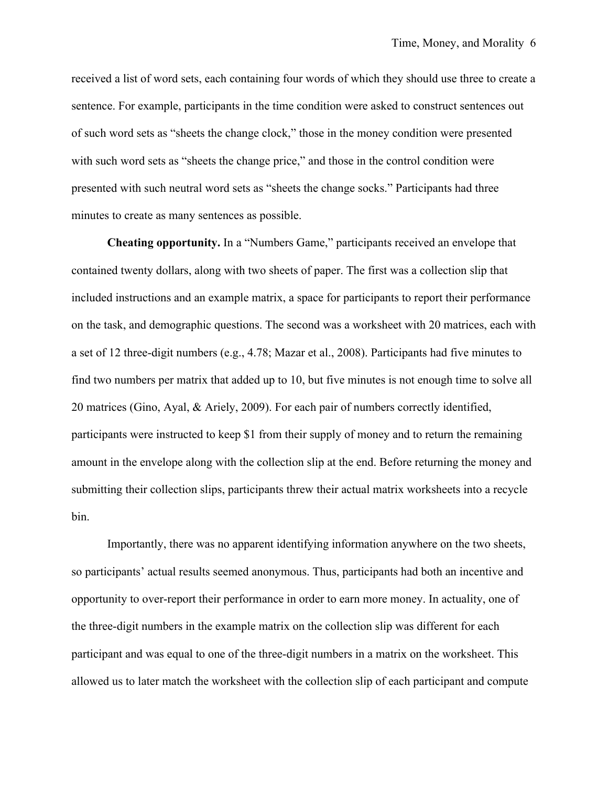received a list of word sets, each containing four words of which they should use three to create a sentence. For example, participants in the time condition were asked to construct sentences out of such word sets as "sheets the change clock," those in the money condition were presented with such word sets as "sheets the change price," and those in the control condition were presented with such neutral word sets as "sheets the change socks." Participants had three minutes to create as many sentences as possible.

**Cheating opportunity.** In a "Numbers Game," participants received an envelope that contained twenty dollars, along with two sheets of paper. The first was a collection slip that included instructions and an example matrix, a space for participants to report their performance on the task, and demographic questions. The second was a worksheet with 20 matrices, each with a set of 12 three-digit numbers (e.g., 4.78; Mazar et al., 2008). Participants had five minutes to find two numbers per matrix that added up to 10, but five minutes is not enough time to solve all 20 matrices (Gino, Ayal, & Ariely, 2009). For each pair of numbers correctly identified, participants were instructed to keep \$1 from their supply of money and to return the remaining amount in the envelope along with the collection slip at the end. Before returning the money and submitting their collection slips, participants threw their actual matrix worksheets into a recycle bin.

Importantly, there was no apparent identifying information anywhere on the two sheets, so participants' actual results seemed anonymous. Thus, participants had both an incentive and opportunity to over-report their performance in order to earn more money. In actuality, one of the three-digit numbers in the example matrix on the collection slip was different for each participant and was equal to one of the three-digit numbers in a matrix on the worksheet. This allowed us to later match the worksheet with the collection slip of each participant and compute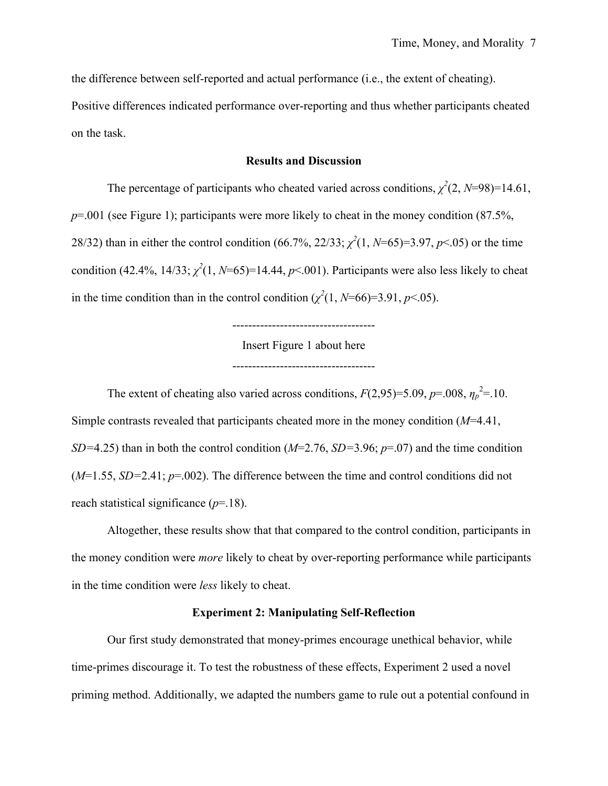the difference between self-reported and actual performance (i.e., the extent of cheating).

Positive differences indicated performance over-reporting and thus whether participants cheated on the task.

## **Results and Discussion**

The percentage of participants who cheated varied across conditions,  $\chi^2(2, N=98)=14.61$ , *p*=.001 (see Figure 1); participants were more likely to cheat in the money condition (87.5%, 28/32) than in either the control condition (66.7%, 22/33;  $\chi^2(1, N=65)=3.97, p<.05$ ) or the time condition (42.4%, 14/33;  $\chi^2(1, N=65)=14.44$ ,  $p<.001$ ). Participants were also less likely to cheat in the time condition than in the control condition  $(\chi^2(1, N=66)=3.91, p<.05)$ .

> ------------------------------------ Insert Figure 1 about here ------------------------------------

The extent of cheating also varied across conditions,  $F(2,95)=5.09$ ,  $p=.008$ ,  $\eta_p^2=.10$ . Simple contrasts revealed that participants cheated more in the money condition (*M*=4.41, *SD=*4.25) than in both the control condition (*M*=2.76, *SD=*3.96; *p*=.07) and the time condition (*M*=1.55, *SD=*2.41; *p*=.002). The difference between the time and control conditions did not reach statistical significance (*p*=.18).

Altogether, these results show that that compared to the control condition, participants in the money condition were *more* likely to cheat by over-reporting performance while participants in the time condition were *less* likely to cheat.

#### **Experiment 2: Manipulating Self-Reflection**

Our first study demonstrated that money-primes encourage unethical behavior, while time-primes discourage it. To test the robustness of these effects, Experiment 2 used a novel priming method. Additionally, we adapted the numbers game to rule out a potential confound in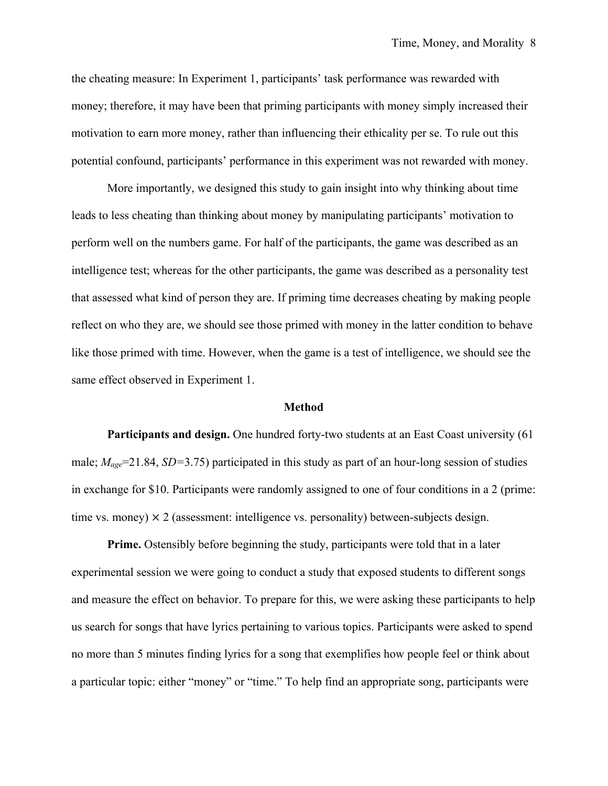the cheating measure: In Experiment 1, participants' task performance was rewarded with money; therefore, it may have been that priming participants with money simply increased their motivation to earn more money, rather than influencing their ethicality per se. To rule out this potential confound, participants' performance in this experiment was not rewarded with money.

More importantly, we designed this study to gain insight into why thinking about time leads to less cheating than thinking about money by manipulating participants' motivation to perform well on the numbers game. For half of the participants, the game was described as an intelligence test; whereas for the other participants, the game was described as a personality test that assessed what kind of person they are. If priming time decreases cheating by making people reflect on who they are, we should see those primed with money in the latter condition to behave like those primed with time. However, when the game is a test of intelligence, we should see the same effect observed in Experiment 1.

#### **Method**

**Participants and design.** One hundred forty-two students at an East Coast university (61 male; *Mage*=21.84, *SD=*3.75) participated in this study as part of an hour-long session of studies in exchange for \$10. Participants were randomly assigned to one of four conditions in a 2 (prime: time vs. money)  $\times$  2 (assessment: intelligence vs. personality) between-subjects design.

**Prime.** Ostensibly before beginning the study, participants were told that in a later experimental session we were going to conduct a study that exposed students to different songs and measure the effect on behavior. To prepare for this, we were asking these participants to help us search for songs that have lyrics pertaining to various topics. Participants were asked to spend no more than 5 minutes finding lyrics for a song that exemplifies how people feel or think about a particular topic: either "money" or "time." To help find an appropriate song, participants were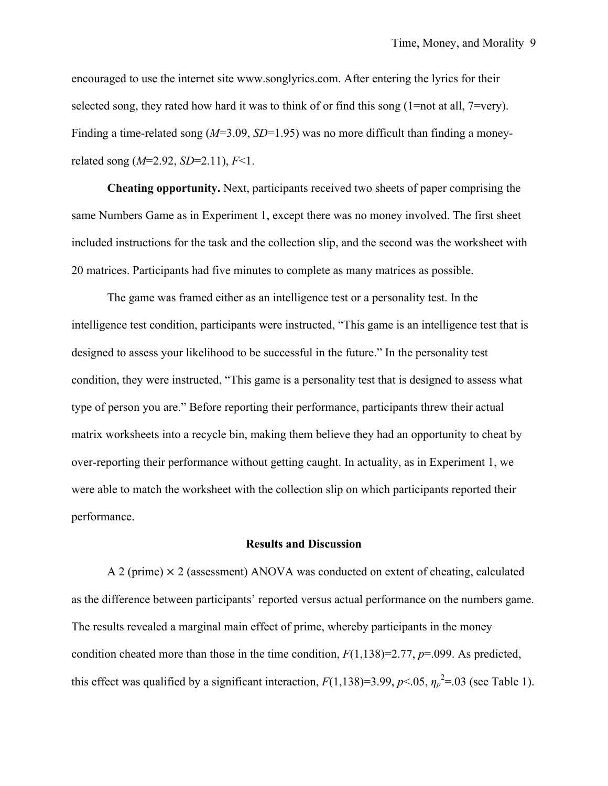encouraged to use the internet site www.songlyrics.com. After entering the lyrics for their selected song, they rated how hard it was to think of or find this song (1=not at all, 7=very). Finding a time-related song (*M*=3.09, *SD*=1.95) was no more difficult than finding a moneyrelated song (*M*=2.92, *SD*=2.11), *F*<1.

**Cheating opportunity.** Next, participants received two sheets of paper comprising the same Numbers Game as in Experiment 1, except there was no money involved. The first sheet included instructions for the task and the collection slip, and the second was the worksheet with 20 matrices. Participants had five minutes to complete as many matrices as possible.

The game was framed either as an intelligence test or a personality test. In the intelligence test condition, participants were instructed, "This game is an intelligence test that is designed to assess your likelihood to be successful in the future." In the personality test condition, they were instructed, "This game is a personality test that is designed to assess what type of person you are." Before reporting their performance, participants threw their actual matrix worksheets into a recycle bin, making them believe they had an opportunity to cheat by over-reporting their performance without getting caught. In actuality, as in Experiment 1, we were able to match the worksheet with the collection slip on which participants reported their performance.

#### **Results and Discussion**

A 2 (prime)  $\times$  2 (assessment) ANOVA was conducted on extent of cheating, calculated as the difference between participants' reported versus actual performance on the numbers game. The results revealed a marginal main effect of prime, whereby participants in the money condition cheated more than those in the time condition, *F*(1,138)=2.77, *p*=.099. As predicted, this effect was qualified by a significant interaction,  $F(1,138)=3.99, p<.05, \eta_p^2=0.03$  (see Table 1).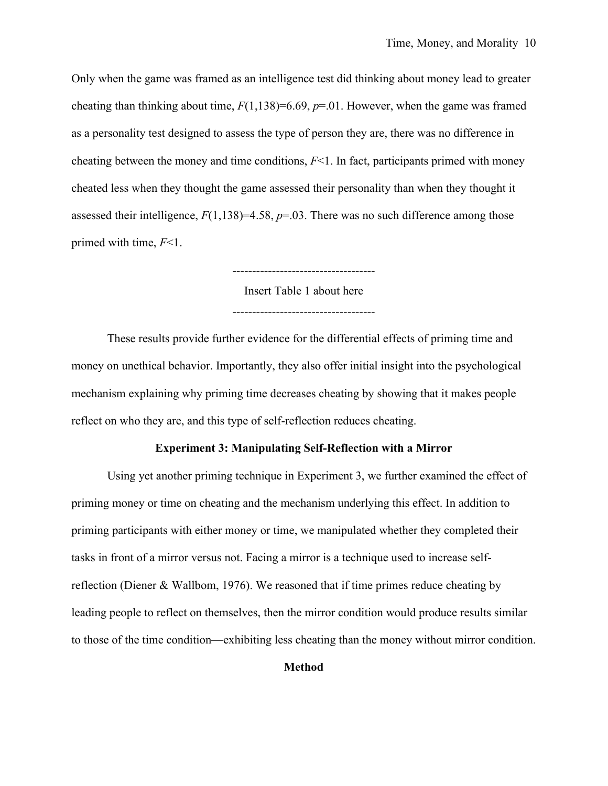Only when the game was framed as an intelligence test did thinking about money lead to greater cheating than thinking about time,  $F(1,138)=6.69$ ,  $p=.01$ . However, when the game was framed as a personality test designed to assess the type of person they are, there was no difference in cheating between the money and time conditions,  $F<1$ . In fact, participants primed with money cheated less when they thought the game assessed their personality than when they thought it assessed their intelligence,  $F(1,138)=4.58$ ,  $p=.03$ . There was no such difference among those primed with time, *F*<1.

> Insert Table 1 about here ------------------------------------

------------------------------------

These results provide further evidence for the differential effects of priming time and money on unethical behavior. Importantly, they also offer initial insight into the psychological mechanism explaining why priming time decreases cheating by showing that it makes people reflect on who they are, and this type of self-reflection reduces cheating.

# **Experiment 3: Manipulating Self-Reflection with a Mirror**

Using yet another priming technique in Experiment 3, we further examined the effect of priming money or time on cheating and the mechanism underlying this effect. In addition to priming participants with either money or time, we manipulated whether they completed their tasks in front of a mirror versus not. Facing a mirror is a technique used to increase selfreflection (Diener & Wallbom, 1976). We reasoned that if time primes reduce cheating by leading people to reflect on themselves, then the mirror condition would produce results similar to those of the time condition—exhibiting less cheating than the money without mirror condition.

## **Method**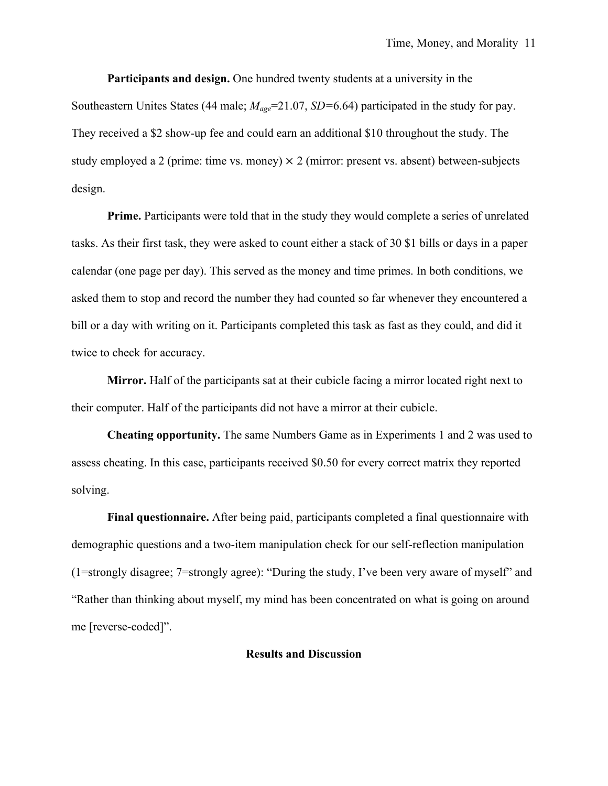**Participants and design.** One hundred twenty students at a university in the

Southeastern Unites States (44 male;  $M_{\text{age}}$ =21.07, *SD*=6.64) participated in the study for pay. They received a \$2 show-up fee and could earn an additional \$10 throughout the study. The study employed a 2 (prime: time vs. money)  $\times$  2 (mirror: present vs. absent) between-subjects design.

**Prime.** Participants were told that in the study they would complete a series of unrelated tasks. As their first task, they were asked to count either a stack of 30 \$1 bills or days in a paper calendar (one page per day). This served as the money and time primes. In both conditions, we asked them to stop and record the number they had counted so far whenever they encountered a bill or a day with writing on it. Participants completed this task as fast as they could, and did it twice to check for accuracy.

**Mirror.** Half of the participants sat at their cubicle facing a mirror located right next to their computer. Half of the participants did not have a mirror at their cubicle.

**Cheating opportunity.** The same Numbers Game as in Experiments 1 and 2 was used to assess cheating. In this case, participants received \$0.50 for every correct matrix they reported solving.

**Final questionnaire.** After being paid, participants completed a final questionnaire with demographic questions and a two-item manipulation check for our self-reflection manipulation (1=strongly disagree; 7=strongly agree): "During the study, I've been very aware of myself" and "Rather than thinking about myself, my mind has been concentrated on what is going on around me [reverse-coded]".

#### **Results and Discussion**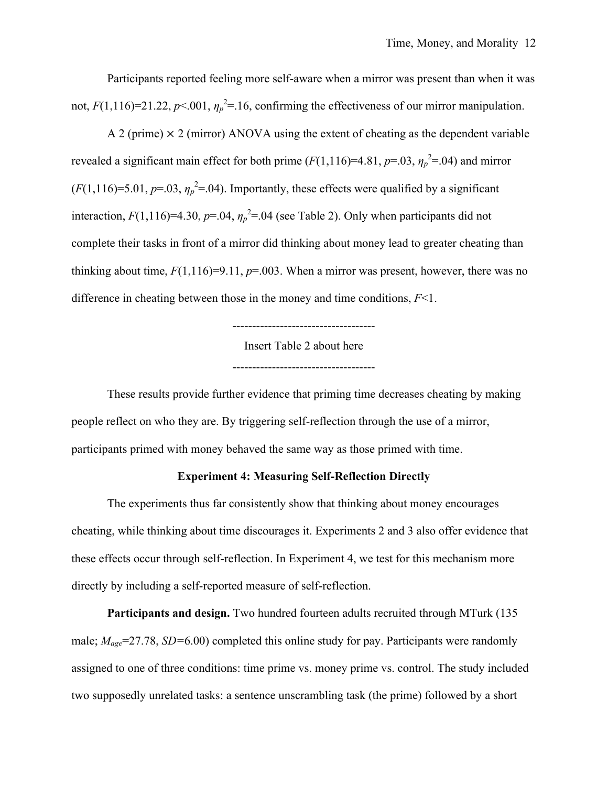Participants reported feeling more self-aware when a mirror was present than when it was not,  $F(1,116)=21.22$ ,  $p<.001$ ,  $\eta_p^2=16$ , confirming the effectiveness of our mirror manipulation.

A 2 (prime)  $\times$  2 (mirror) ANOVA using the extent of cheating as the dependent variable revealed a significant main effect for both prime  $(F(1,116)=4.81, p=.03, \eta_p^2=.04)$  and mirror  $(F(1,116)=5.01, p=.03, \eta_p^2=.04)$ . Importantly, these effects were qualified by a significant interaction,  $F(1,116)=4.30$ ,  $p=.04$ ,  $\eta_p^2=.04$  (see Table 2). Only when participants did not complete their tasks in front of a mirror did thinking about money lead to greater cheating than thinking about time,  $F(1,116)=9.11$ ,  $p=.003$ . When a mirror was present, however, there was no difference in cheating between those in the money and time conditions, *F*<1.

Insert Table 2 about here

------------------------------------

------------------------------------

These results provide further evidence that priming time decreases cheating by making people reflect on who they are. By triggering self-reflection through the use of a mirror, participants primed with money behaved the same way as those primed with time.

# **Experiment 4: Measuring Self-Reflection Directly**

The experiments thus far consistently show that thinking about money encourages cheating, while thinking about time discourages it. Experiments 2 and 3 also offer evidence that these effects occur through self-reflection. In Experiment 4, we test for this mechanism more directly by including a self-reported measure of self-reflection.

**Participants and design.** Two hundred fourteen adults recruited through MTurk (135 male; *Mage*=27.78, *SD=*6.00) completed this online study for pay. Participants were randomly assigned to one of three conditions: time prime vs. money prime vs. control. The study included two supposedly unrelated tasks: a sentence unscrambling task (the prime) followed by a short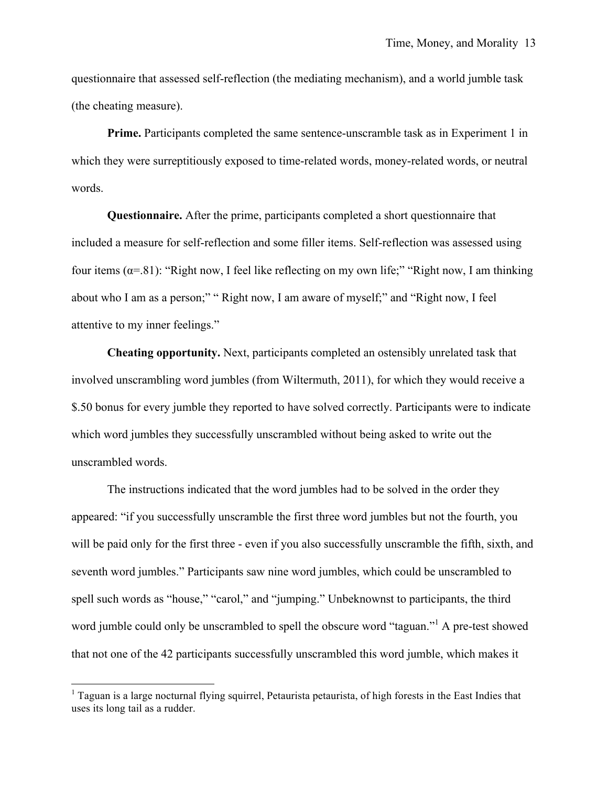questionnaire that assessed self-reflection (the mediating mechanism), and a world jumble task (the cheating measure).

**Prime.** Participants completed the same sentence-unscramble task as in Experiment 1 in which they were surreptitiously exposed to time-related words, money-related words, or neutral words.

**Questionnaire.** After the prime, participants completed a short questionnaire that included a measure for self-reflection and some filler items. Self-reflection was assessed using four items ( $\alpha$ =.81): "Right now, I feel like reflecting on my own life;" "Right now, I am thinking about who I am as a person;" " Right now, I am aware of myself;" and "Right now, I feel attentive to my inner feelings."

**Cheating opportunity.** Next, participants completed an ostensibly unrelated task that involved unscrambling word jumbles (from Wiltermuth, 2011), for which they would receive a \$.50 bonus for every jumble they reported to have solved correctly. Participants were to indicate which word jumbles they successfully unscrambled without being asked to write out the unscrambled words.

The instructions indicated that the word jumbles had to be solved in the order they appeared: "if you successfully unscramble the first three word jumbles but not the fourth, you will be paid only for the first three - even if you also successfully unscramble the fifth, sixth, and seventh word jumbles." Participants saw nine word jumbles, which could be unscrambled to spell such words as "house," "carol," and "jumping." Unbeknownst to participants, the third word jumble could only be unscrambled to spell the obscure word "taguan."<sup>1</sup> A pre-test showed that not one of the 42 participants successfully unscrambled this word jumble, which makes it

!!!!!!!!!!!!!!!!!!!!!!!!!!!!!!!!!!!!!!!!!!!!!!!!!!!!!!!!!!!!

<sup>&</sup>lt;sup>1</sup> Taguan is a large nocturnal flying squirrel, Petaurista petaurista, of high forests in the East Indies that uses its long tail as a rudder.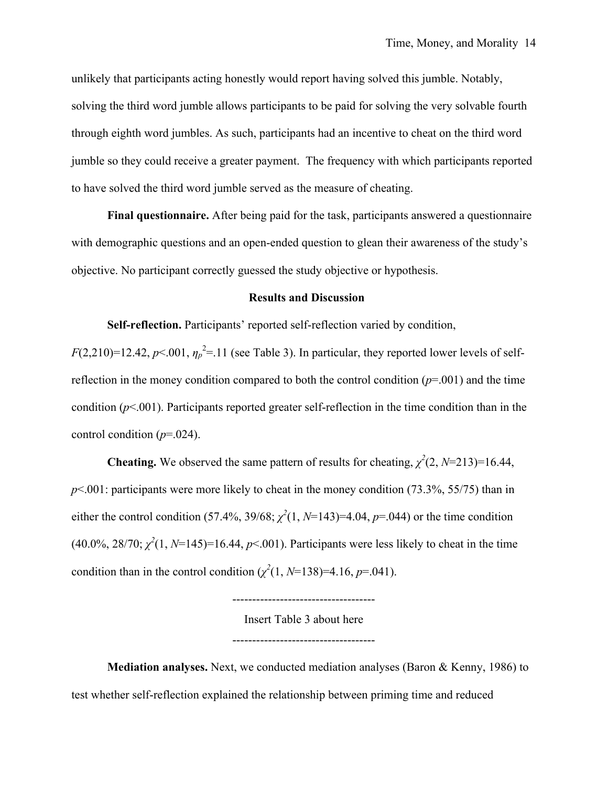unlikely that participants acting honestly would report having solved this jumble. Notably, solving the third word jumble allows participants to be paid for solving the very solvable fourth through eighth word jumbles. As such, participants had an incentive to cheat on the third word jumble so they could receive a greater payment. The frequency with which participants reported to have solved the third word jumble served as the measure of cheating.

**Final questionnaire.** After being paid for the task, participants answered a questionnaire with demographic questions and an open-ended question to glean their awareness of the study's objective. No participant correctly guessed the study objective or hypothesis.

#### **Results and Discussion**

**Self-reflection.** Participants' reported self-reflection varied by condition,

 $F(2,210)=12.42$ ,  $p<.001$ ,  $\eta_p^2=11$  (see Table 3). In particular, they reported lower levels of selfreflection in the money condition compared to both the control condition  $(p=001)$  and the time condition (*p*<.001). Participants reported greater self-reflection in the time condition than in the control condition  $(p=0.024)$ .

**Cheating.** We observed the same pattern of results for cheating,  $\chi^2(2, N=213)=16.44$ , *p*<.001: participants were more likely to cheat in the money condition (73.3%, 55/75) than in either the control condition (57.4%, 39/68;  $\chi^2(1, N=143)=4.04$ ,  $p=.044$ ) or the time condition  $(40.0\%, 28/70; \chi^2(1, N=145)=16.44, p<.001)$ . Participants were less likely to cheat in the time condition than in the control condition  $(\chi^2(1, N=138)=4.16, p=.041)$ .

------------------------------------

Insert Table 3 about here

------------------------------------

**Mediation analyses.** Next, we conducted mediation analyses (Baron & Kenny, 1986) to test whether self-reflection explained the relationship between priming time and reduced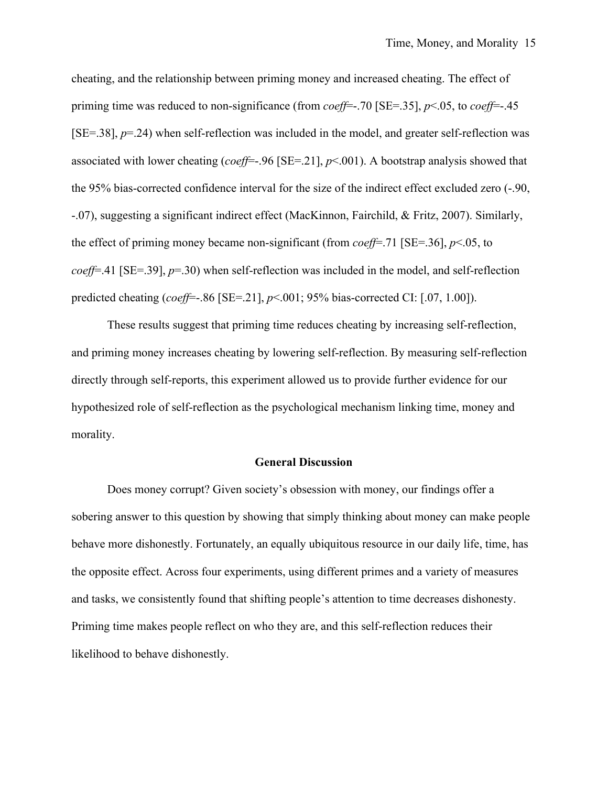cheating, and the relationship between priming money and increased cheating. The effect of priming time was reduced to non-significance (from *coeff*=-.70 [SE=.35], *p*<.05, to *coeff*=-.45  $[SE=.38]$ ,  $p=.24$ ) when self-reflection was included in the model, and greater self-reflection was associated with lower cheating (*coeff*=-.96 [SE=.21], *p*<.001). A bootstrap analysis showed that the 95% bias-corrected confidence interval for the size of the indirect effect excluded zero (-.90, -.07), suggesting a significant indirect effect (MacKinnon, Fairchild, & Fritz, 2007). Similarly, the effect of priming money became non-significant (from *coeff*=.71 [SE=.36], *p*<.05, to *coeff*=.41 [SE=.39], *p*=.30) when self-reflection was included in the model, and self-reflection predicted cheating (*coeff*=-.86 [SE=.21], *p*<.001; 95% bias-corrected CI: [.07, 1.00]).

These results suggest that priming time reduces cheating by increasing self-reflection, and priming money increases cheating by lowering self-reflection. By measuring self-reflection directly through self-reports, this experiment allowed us to provide further evidence for our hypothesized role of self-reflection as the psychological mechanism linking time, money and morality.

#### **General Discussion**

Does money corrupt? Given society's obsession with money, our findings offer a sobering answer to this question by showing that simply thinking about money can make people behave more dishonestly. Fortunately, an equally ubiquitous resource in our daily life, time, has the opposite effect. Across four experiments, using different primes and a variety of measures and tasks, we consistently found that shifting people's attention to time decreases dishonesty. Priming time makes people reflect on who they are, and this self-reflection reduces their likelihood to behave dishonestly.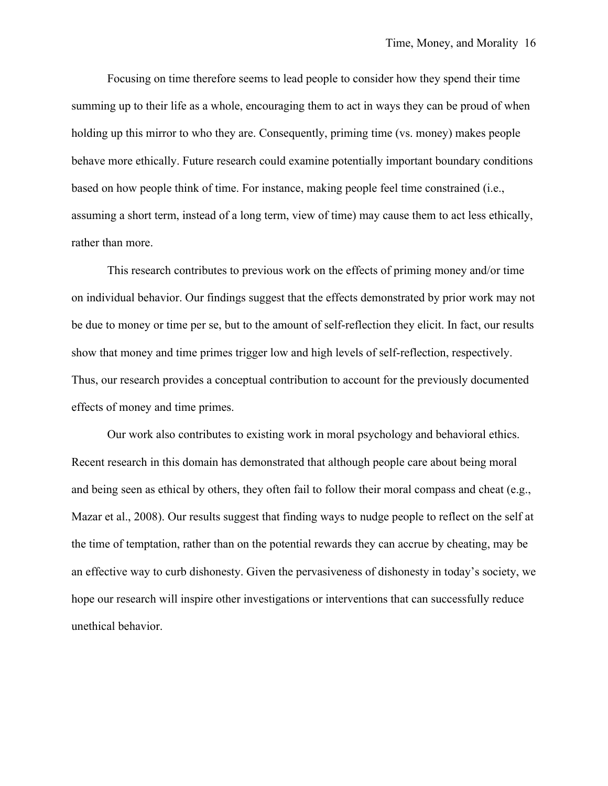Focusing on time therefore seems to lead people to consider how they spend their time summing up to their life as a whole, encouraging them to act in ways they can be proud of when holding up this mirror to who they are. Consequently, priming time (vs. money) makes people behave more ethically. Future research could examine potentially important boundary conditions based on how people think of time. For instance, making people feel time constrained (i.e., assuming a short term, instead of a long term, view of time) may cause them to act less ethically, rather than more.

This research contributes to previous work on the effects of priming money and/or time on individual behavior. Our findings suggest that the effects demonstrated by prior work may not be due to money or time per se, but to the amount of self-reflection they elicit. In fact, our results show that money and time primes trigger low and high levels of self-reflection, respectively. Thus, our research provides a conceptual contribution to account for the previously documented effects of money and time primes.

Our work also contributes to existing work in moral psychology and behavioral ethics. Recent research in this domain has demonstrated that although people care about being moral and being seen as ethical by others, they often fail to follow their moral compass and cheat (e.g., Mazar et al., 2008). Our results suggest that finding ways to nudge people to reflect on the self at the time of temptation, rather than on the potential rewards they can accrue by cheating, may be an effective way to curb dishonesty. Given the pervasiveness of dishonesty in today's society, we hope our research will inspire other investigations or interventions that can successfully reduce unethical behavior.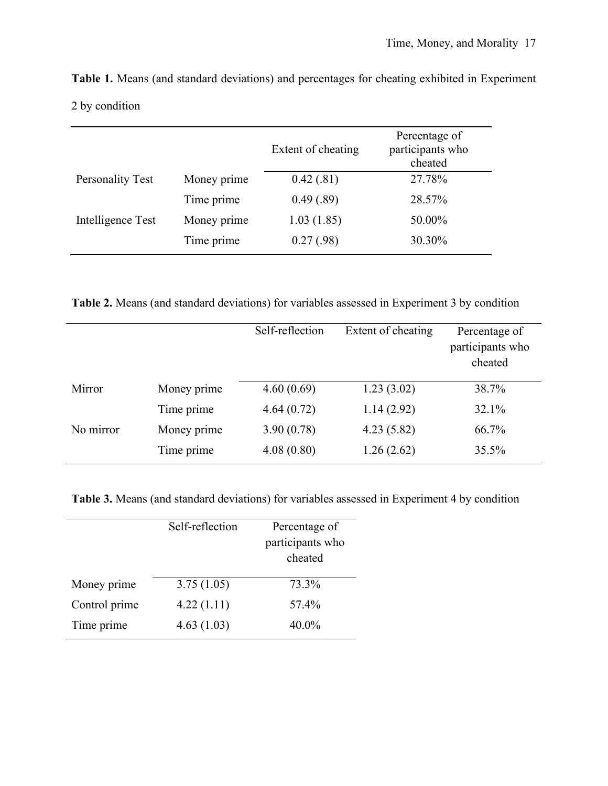|                   |             | Extent of cheating | Percentage of<br>participants who<br>cheated |
|-------------------|-------------|--------------------|----------------------------------------------|
| Personality Test  | Money prime | 0.42(.81)          | 27.78%                                       |
|                   | Time prime  | 0.49(.89)          | 28.57%                                       |
| Intelligence Test | Money prime | 1.03(1.85)         | 50.00%                                       |
|                   | Time prime  | 0.27(0.98)         | 30.30%                                       |

**Table 1.** Means (and standard deviations) and percentages for cheating exhibited in Experiment 2 by condition

**Table 2.** Means (and standard deviations) for variables assessed in Experiment 3 by condition

|           |             | Self-reflection | Extent of cheating | Percentage of<br>participants who<br>cheated |
|-----------|-------------|-----------------|--------------------|----------------------------------------------|
| Mirror    | Money prime | 4.60(0.69)      | 1.23(3.02)         | 38.7%                                        |
|           | Time prime  | 4.64(0.72)      | 1.14(2.92)         | 32.1%                                        |
| No mirror | Money prime | 3.90(0.78)      | 4.23(5.82)         | 66.7%                                        |
|           | Time prime  | 4.08(0.80)      | 1.26(2.62)         | 35.5%                                        |

**Table 3.** Means (and standard deviations) for variables assessed in Experiment 4 by condition

|               | Self-reflection | Percentage of<br>participants who<br>cheated |
|---------------|-----------------|----------------------------------------------|
| Money prime   | 3.75(1.05)      | 73.3%                                        |
| Control prime | 4.22(1.11)      | 57.4%                                        |
| Time prime    | 4.63(1.03)      | 40.0%                                        |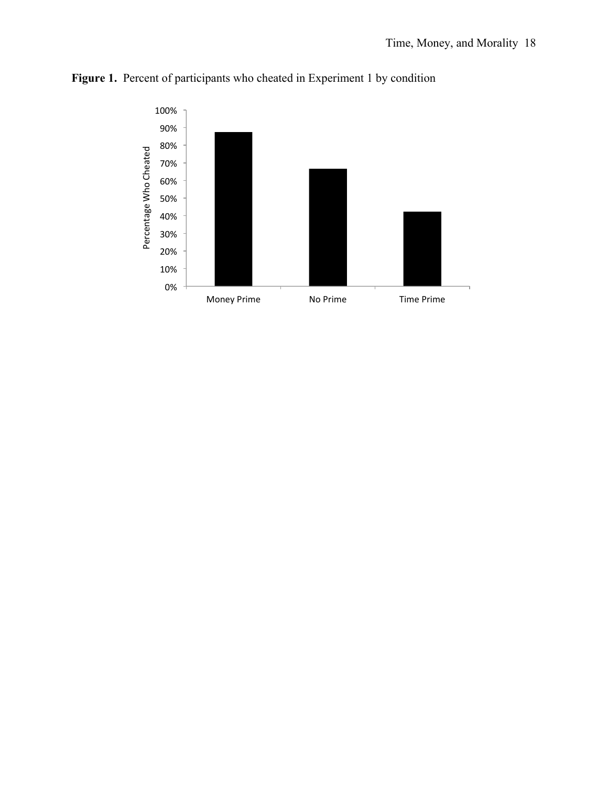

Figure 1. Percent of participants who cheated in Experiment 1 by condition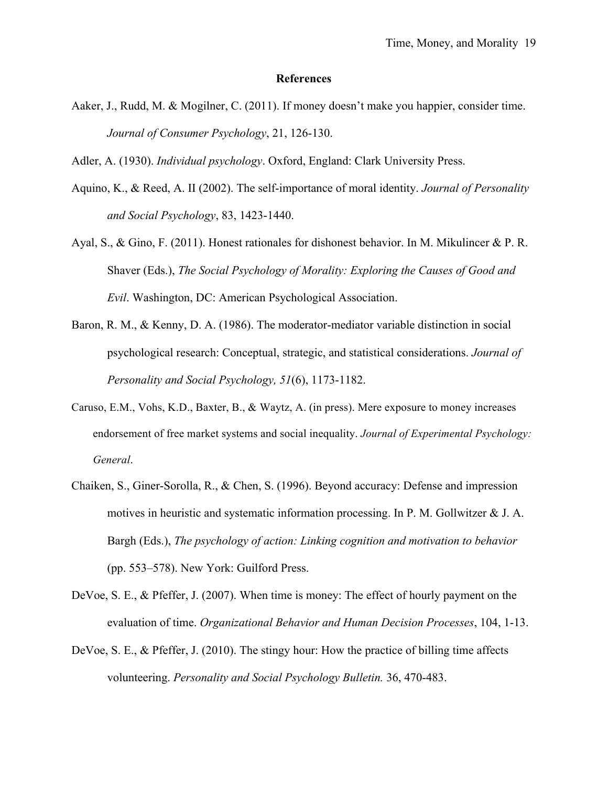#### **References**

- Aaker, J., Rudd, M. & Mogilner, C. (2011). If money doesn't make you happier, consider time. *Journal of Consumer Psychology*, 21, 126-130.
- Adler, A. (1930). *Individual psychology*. Oxford, England: Clark University Press.
- Aquino, K., & Reed, A. II (2002). The self-importance of moral identity. *Journal of Personality and Social Psychology*, 83, 1423-1440.
- Ayal, S., & Gino, F. (2011). Honest rationales for dishonest behavior. In M. Mikulincer & P. R. Shaver (Eds.), *The Social Psychology of Morality: Exploring the Causes of Good and Evil*. Washington, DC: American Psychological Association.
- Baron, R. M., & Kenny, D. A. (1986). The moderator-mediator variable distinction in social psychological research: Conceptual, strategic, and statistical considerations. *Journal of Personality and Social Psychology, 51*(6), 1173-1182.
- Caruso, E.M., Vohs, K.D., Baxter, B., & Waytz, A. (in press). Mere exposure to money increases endorsement of free market systems and social inequality. *Journal of Experimental Psychology: General*.
- Chaiken, S., Giner-Sorolla, R., & Chen, S. (1996). Beyond accuracy: Defense and impression motives in heuristic and systematic information processing. In P. M. Gollwitzer & J. A. Bargh (Eds.), *The psychology of action: Linking cognition and motivation to behavior* (pp. 553–578). New York: Guilford Press.
- DeVoe, S. E., & Pfeffer, J. (2007). When time is money: The effect of hourly payment on the evaluation of time. *Organizational Behavior and Human Decision Processes*, 104, 1-13.
- DeVoe, S. E., & Pfeffer, J. (2010). The stingy hour: How the practice of billing time affects volunteering. *Personality and Social Psychology Bulletin.* 36, 470-483.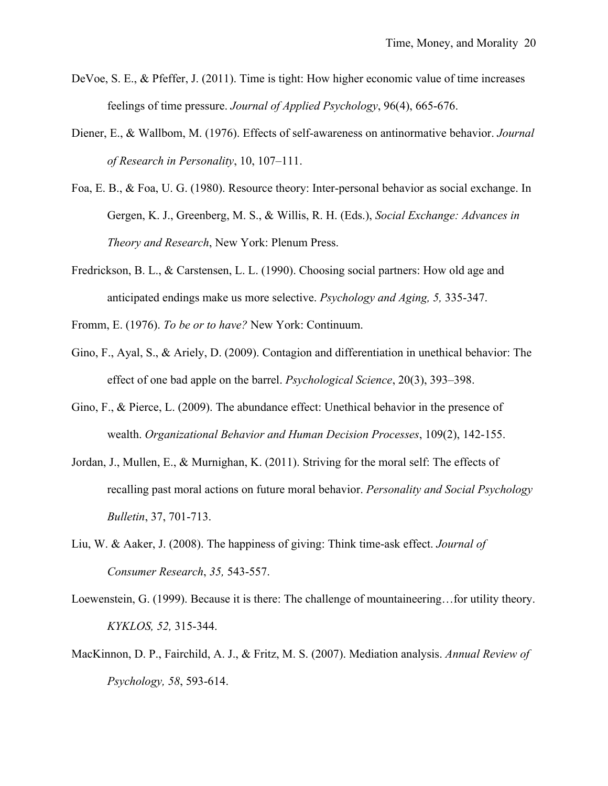- DeVoe, S. E., & Pfeffer, J. (2011). Time is tight: How higher economic value of time increases feelings of time pressure. *Journal of Applied Psychology*, 96(4), 665-676.
- Diener, E., & Wallbom, M. (1976). Effects of self-awareness on antinormative behavior. *Journal of Research in Personality*, 10, 107–111.
- Foa, E. B., & Foa, U. G. (1980). Resource theory: Inter-personal behavior as social exchange. In Gergen, K. J., Greenberg, M. S., & Willis, R. H. (Eds.), *Social Exchange: Advances in Theory and Research*, New York: Plenum Press.
- Fredrickson, B. L., & Carstensen, L. L. (1990). Choosing social partners: How old age and anticipated endings make us more selective. *Psychology and Aging, 5,* 335-347.
- Fromm, E. (1976). *To be or to have?* New York: Continuum.
- Gino, F., Ayal, S., & Ariely, D. (2009). Contagion and differentiation in unethical behavior: The effect of one bad apple on the barrel. *Psychological Science*, 20(3), 393–398.
- Gino, F., & Pierce, L. (2009). The abundance effect: Unethical behavior in the presence of wealth. *Organizational Behavior and Human Decision Processes*, 109(2), 142-155.
- Jordan, J., Mullen, E., & Murnighan, K. (2011). Striving for the moral self: The effects of recalling past moral actions on future moral behavior. *Personality and Social Psychology Bulletin*, 37, 701-713.
- Liu, W. & Aaker, J. (2008). The happiness of giving: Think time-ask effect. *Journal of Consumer Research*, *35,* 543-557.
- Loewenstein, G. (1999). Because it is there: The challenge of mountaineering…for utility theory. *KYKLOS, 52,* 315-344.
- MacKinnon, D. P., Fairchild, A. J., & Fritz, M. S. (2007). Mediation analysis. *Annual Review of Psychology, 58*, 593-614.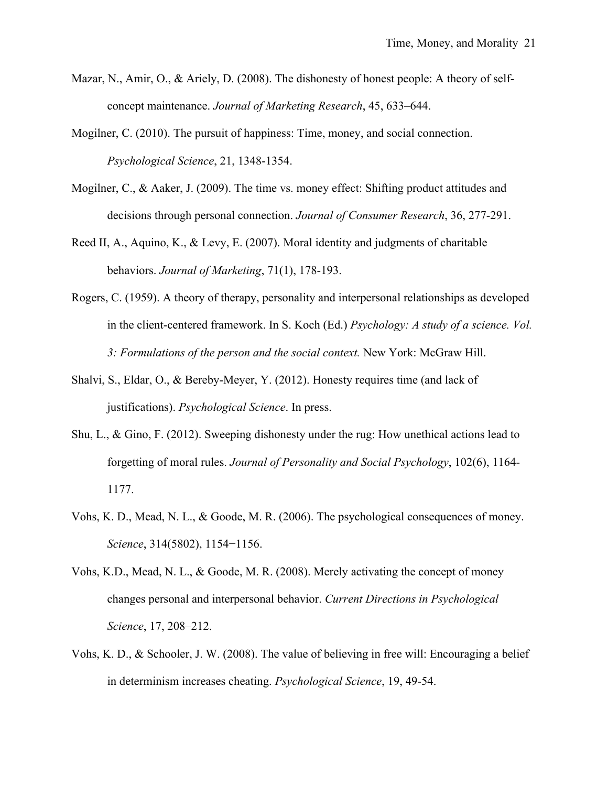- Mazar, N., Amir, O., & Ariely, D. (2008). The dishonesty of honest people: A theory of selfconcept maintenance. *Journal of Marketing Research*, 45, 633–644.
- Mogilner, C. (2010). The pursuit of happiness: Time, money, and social connection. *Psychological Science*, 21, 1348-1354.
- Mogilner, C., & Aaker, J. (2009). The time vs. money effect: Shifting product attitudes and decisions through personal connection. *Journal of Consumer Research*, 36, 277-291.
- Reed II, A., Aquino, K., & Levy, E. (2007). Moral identity and judgments of charitable behaviors. *Journal of Marketing*, 71(1), 178-193.
- Rogers, C. (1959). A theory of therapy, personality and interpersonal relationships as developed in the client-centered framework. In S. Koch (Ed.) *Psychology: A study of a science. Vol. 3: Formulations of the person and the social context.* New York: McGraw Hill.
- Shalvi, S., Eldar, O., & Bereby-Meyer, Y. (2012). Honesty requires time (and lack of justifications). *Psychological Science*. In press.
- Shu, L., & Gino, F. (2012). Sweeping dishonesty under the rug: How unethical actions lead to forgetting of moral rules. *Journal of Personality and Social Psychology*, 102(6), 1164- 1177.
- Vohs, K. D., Mead, N. L., & Goode, M. R. (2006). The psychological consequences of money. *Science*, 314(5802), 1154−1156.
- Vohs, K.D., Mead, N. L., & Goode, M. R. (2008). Merely activating the concept of money changes personal and interpersonal behavior. *Current Directions in Psychological Science*, 17, 208–212.
- Vohs, K. D., & Schooler, J. W. (2008). The value of believing in free will: Encouraging a belief in determinism increases cheating. *Psychological Science*, 19, 49-54.